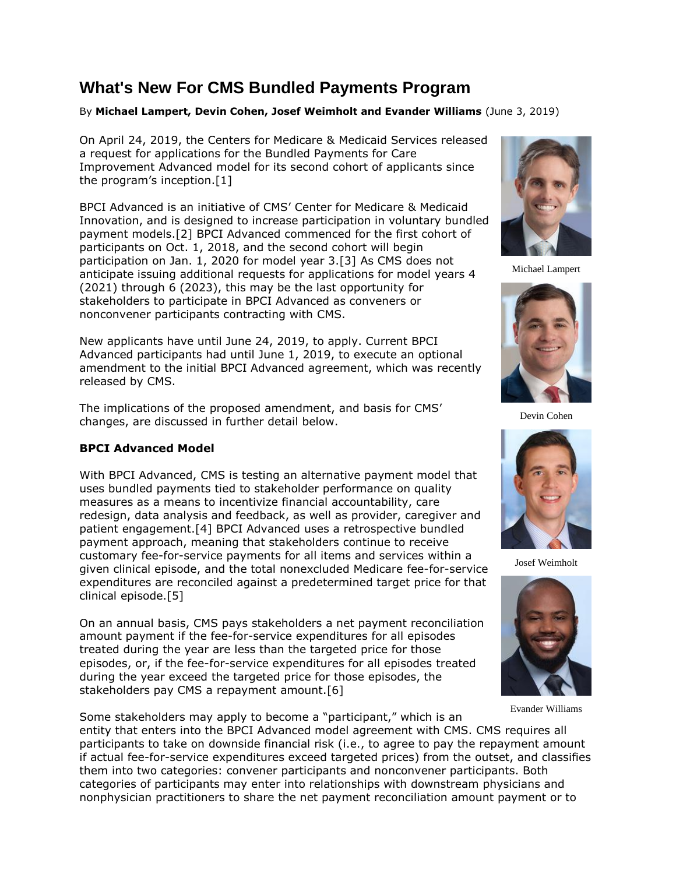# **What's New For CMS Bundled Payments Program**

#### By **Michael Lampert, Devin Cohen, Josef Weimholt and Evander Williams** (June 3, 2019)

On April 24, 2019, the [Centers for Medicare & Medicaid Services](https://www.law360.com/agencies/centers-for-medicare-medicaid-services) released a request for applications for the Bundled Payments for Care Improvement Advanced model for its second cohort of applicants since the program's inception.[1]

BPCI Advanced is an initiative of CMS' Center for Medicare & Medicaid Innovation, and is designed to increase participation in voluntary bundled payment models.[2] BPCI Advanced commenced for the first cohort of participants on Oct. 1, 2018, and the second cohort will begin participation on Jan. 1, 2020 for model year 3.[3] As CMS does not anticipate issuing additional requests for applications for model years 4 (2021) through 6 (2023), this may be the last opportunity for stakeholders to participate in BPCI Advanced as conveners or nonconvener participants contracting with CMS.

New applicants have until June 24, 2019, to apply. Current BPCI Advanced participants had until June 1, 2019, to execute an optional amendment to the initial BPCI Advanced agreement, which was recently released by CMS.

The implications of the proposed amendment, and basis for CMS' changes, are discussed in further detail below.

#### **BPCI Advanced Model**

With BPCI Advanced, CMS is testing an alternative payment model that uses bundled payments tied to stakeholder performance on quality measures as a means to incentivize financial accountability, care redesign, data analysis and feedback, as well as provider, caregiver and patient engagement.[4] BPCI Advanced uses a retrospective bundled payment approach, meaning that stakeholders continue to receive customary fee-for-service payments for all items and services within a given clinical episode, and the total nonexcluded Medicare fee-for-service expenditures are reconciled against a predetermined target price for that clinical episode.[5]

On an annual basis, CMS pays stakeholders a net payment reconciliation amount payment if the fee-for-service expenditures for all episodes treated during the year are less than the targeted price for those episodes, or, if the fee-for-service expenditures for all episodes treated during the year exceed the targeted price for those episodes, the stakeholders pay CMS a repayment amount.[6]

Some stakeholders may apply to become a "participant," which is an entity that enters into the BPCI Advanced model agreement with CMS. CMS requires all participants to take on downside financial risk (i.e., to agree to pay the repayment amount if actual fee-for-service expenditures exceed targeted prices) from the outset, and classifies them into two categories: convener participants and nonconvener participants. Both categories of participants may enter into relationships with downstream physicians and nonphysician practitioners to share the net payment reconciliation amount payment or to



Michael Lampert



Devin Cohen



Josef Weimholt





Evander Williams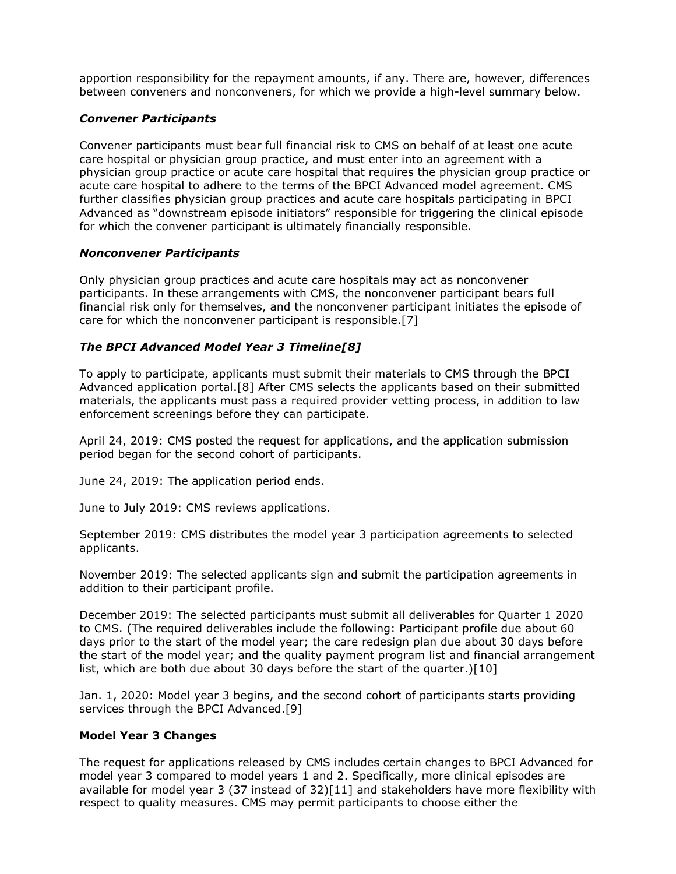apportion responsibility for the repayment amounts, if any. There are, however, differences between conveners and nonconveners, for which we provide a high-level summary below.

### *Convener Participants*

Convener participants must bear full financial risk to CMS on behalf of at least one acute care hospital or physician group practice, and must enter into an agreement with a physician group practice or acute care hospital that requires the physician group practice or acute care hospital to adhere to the terms of the BPCI Advanced model agreement. CMS further classifies physician group practices and acute care hospitals participating in BPCI Advanced as "downstream episode initiators" responsible for triggering the clinical episode for which the convener participant is ultimately financially responsible.

#### *Nonconvener Participants*

Only physician group practices and acute care hospitals may act as nonconvener participants. In these arrangements with CMS, the nonconvener participant bears full financial risk only for themselves, and the nonconvener participant initiates the episode of care for which the nonconvener participant is responsible.[7]

## *The BPCI Advanced Model Year 3 Timeline[8]*

To apply to participate, applicants must submit their materials to CMS through the BPCI Advanced application portal.[8] After CMS selects the applicants based on their submitted materials, the applicants must pass a required provider vetting process, in addition to law enforcement screenings before they can participate.

April 24, 2019: CMS posted the request for applications, and the application submission period began for the second cohort of participants.

June 24, 2019: The application period ends.

June to July 2019: CMS reviews applications.

September 2019: CMS distributes the model year 3 participation agreements to selected applicants.

November 2019: The selected applicants sign and submit the participation agreements in addition to their participant profile.

December 2019: The selected participants must submit all deliverables for Quarter 1 2020 to CMS. (The required deliverables include the following: Participant profile due about 60 days prior to the start of the model year; the care redesign plan due about 30 days before the start of the model year; and the quality payment program list and financial arrangement list, which are both due about 30 days before the start of the quarter.)[10]

Jan. 1, 2020: Model year 3 begins, and the second cohort of participants starts providing services through the BPCI Advanced.[9]

#### **Model Year 3 Changes**

The request for applications released by CMS includes certain changes to BPCI Advanced for model year 3 compared to model years 1 and 2. Specifically, more clinical episodes are available for model year 3 (37 instead of  $32$ )[11] and stakeholders have more flexibility with respect to quality measures. CMS may permit participants to choose either the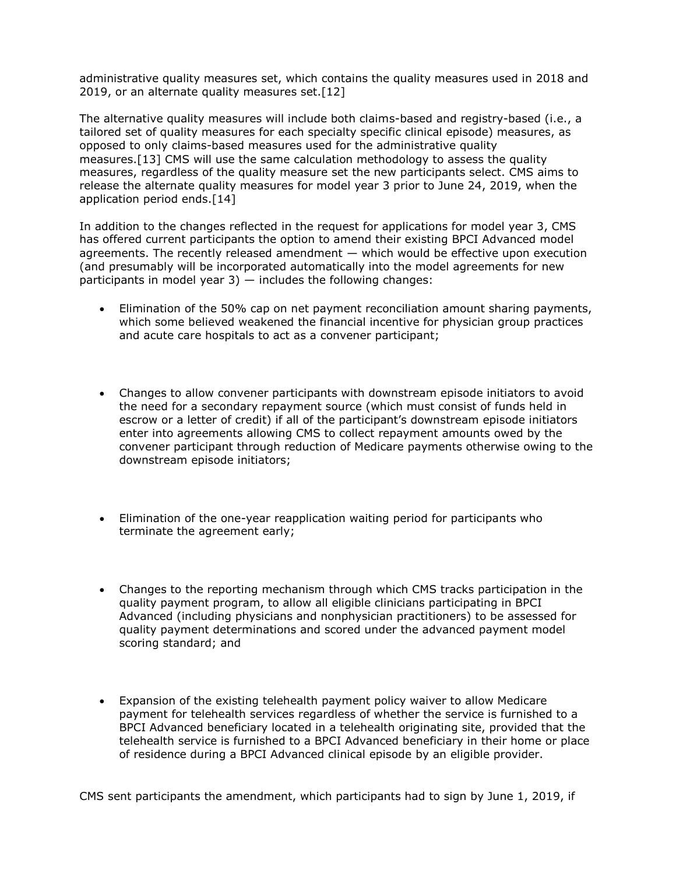administrative quality measures set, which contains the quality measures used in 2018 and 2019, or an alternate quality measures set.[12]

The alternative quality measures will include both claims-based and registry-based (i.e., a tailored set of quality measures for each specialty specific clinical episode) measures, as opposed to only claims-based measures used for the administrative quality measures.[13] CMS will use the same calculation methodology to assess the quality measures, regardless of the quality measure set the new participants select. CMS aims to release the alternate quality measures for model year 3 prior to June 24, 2019, when the application period ends.[14]

In addition to the changes reflected in the request for applications for model year 3, CMS has offered current participants the option to amend their existing BPCI Advanced model agreements. The recently released amendment — which would be effective upon execution (and presumably will be incorporated automatically into the model agreements for new participants in model year  $3$ )  $-$  includes the following changes:

- Elimination of the 50% cap on net payment reconciliation amount sharing payments, which some believed weakened the financial incentive for physician group practices and acute care hospitals to act as a convener participant;
- Changes to allow convener participants with downstream episode initiators to avoid the need for a secondary repayment source (which must consist of funds held in escrow or a letter of credit) if all of the participant's downstream episode initiators enter into agreements allowing CMS to collect repayment amounts owed by the convener participant through reduction of Medicare payments otherwise owing to the downstream episode initiators;
- Elimination of the one-year reapplication waiting period for participants who terminate the agreement early;
- Changes to the reporting mechanism through which CMS tracks participation in the quality payment program, to allow all eligible clinicians participating in BPCI Advanced (including physicians and nonphysician practitioners) to be assessed for quality payment determinations and scored under the advanced payment model scoring standard; and
- Expansion of the existing telehealth payment policy waiver to allow Medicare payment for telehealth services regardless of whether the service is furnished to a BPCI Advanced beneficiary located in a telehealth originating site, provided that the telehealth service is furnished to a BPCI Advanced beneficiary in their home or place of residence during a BPCI Advanced clinical episode by an eligible provider.

CMS sent participants the amendment, which participants had to sign by June 1, 2019, if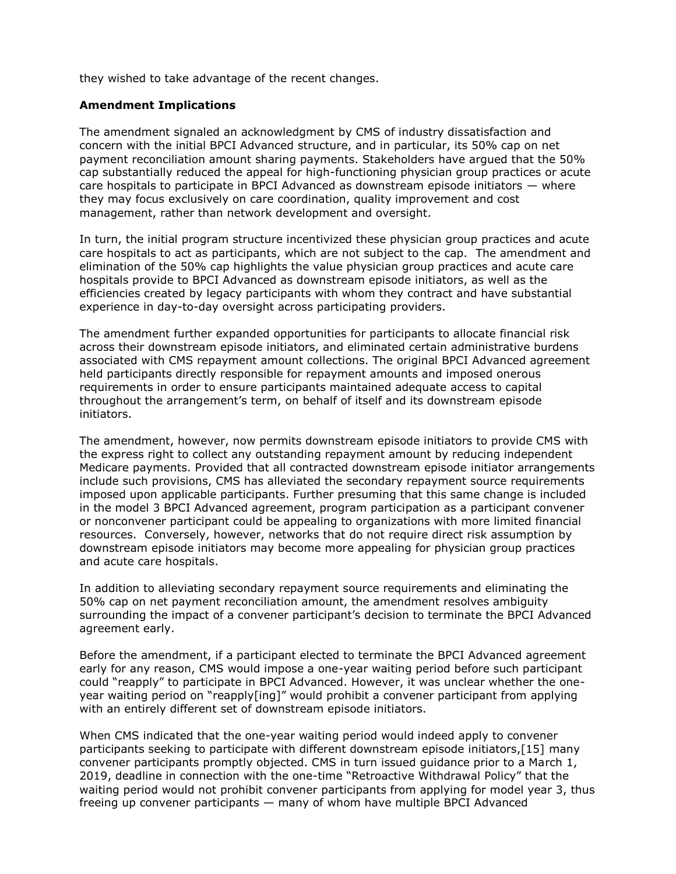they wished to take advantage of the recent changes.

#### **Amendment Implications**

The amendment signaled an acknowledgment by CMS of industry dissatisfaction and concern with the initial BPCI Advanced structure, and in particular, its 50% cap on net payment reconciliation amount sharing payments. Stakeholders have argued that the 50% cap substantially reduced the appeal for high-functioning physician group practices or acute care hospitals to participate in BPCI Advanced as downstream episode initiators  $-$  where they may focus exclusively on care coordination, quality improvement and cost management, rather than network development and oversight.

In turn, the initial program structure incentivized these physician group practices and acute care hospitals to act as participants, which are not subject to the cap. The amendment and elimination of the 50% cap highlights the value physician group practices and acute care hospitals provide to BPCI Advanced as downstream episode initiators, as well as the efficiencies created by legacy participants with whom they contract and have substantial experience in day-to-day oversight across participating providers.

The amendment further expanded opportunities for participants to allocate financial risk across their downstream episode initiators, and eliminated certain administrative burdens associated with CMS repayment amount collections. The original BPCI Advanced agreement held participants directly responsible for repayment amounts and imposed onerous requirements in order to ensure participants maintained adequate access to capital throughout the arrangement's term, on behalf of itself and its downstream episode initiators.

The amendment, however, now permits downstream episode initiators to provide CMS with the express right to collect any outstanding repayment amount by reducing independent Medicare payments. Provided that all contracted downstream episode initiator arrangements include such provisions, CMS has alleviated the secondary repayment source requirements imposed upon applicable participants. Further presuming that this same change is included in the model 3 BPCI Advanced agreement, program participation as a participant convener or nonconvener participant could be appealing to organizations with more limited financial resources. Conversely, however, networks that do not require direct risk assumption by downstream episode initiators may become more appealing for physician group practices and acute care hospitals.

In addition to alleviating secondary repayment source requirements and eliminating the 50% cap on net payment reconciliation amount, the amendment resolves ambiguity surrounding the impact of a convener participant's decision to terminate the BPCI Advanced agreement early.

Before the amendment, if a participant elected to terminate the BPCI Advanced agreement early for any reason, CMS would impose a one-year waiting period before such participant could "reapply" to participate in BPCI Advanced. However, it was unclear whether the oneyear waiting period on "reapply[ing]" would prohibit a convener participant from applying with an entirely different set of downstream episode initiators.

When CMS indicated that the one-year waiting period would indeed apply to convener participants seeking to participate with different downstream episode initiators,[15] many convener participants promptly objected. CMS in turn issued guidance prior to a March 1, 2019, deadline in connection with the one-time "Retroactive Withdrawal Policy" that the waiting period would not prohibit convener participants from applying for model year 3, thus freeing up convener participants — many of whom have multiple BPCI Advanced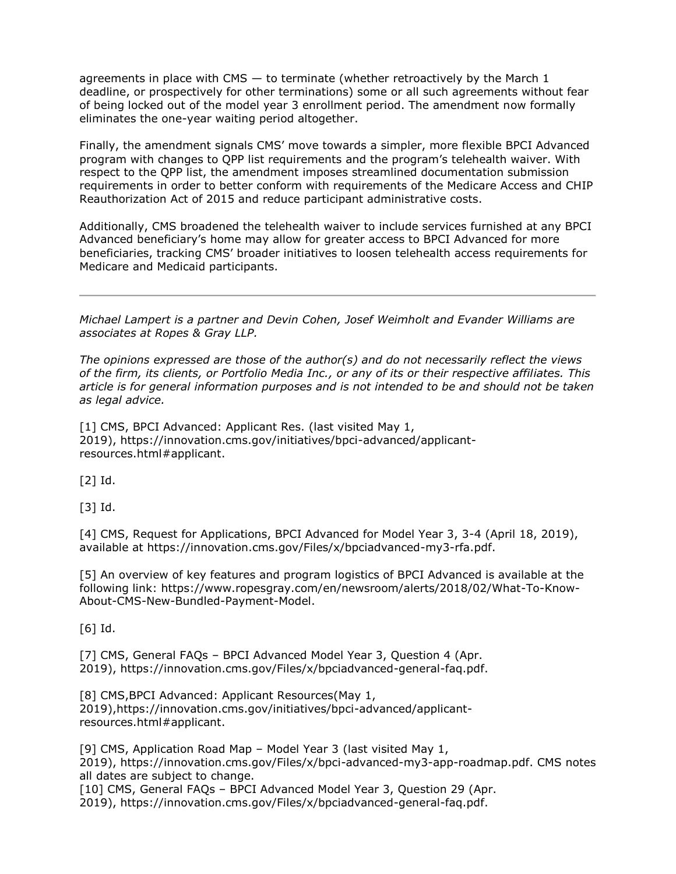agreements in place with CMS — to terminate (whether retroactively by the March 1 deadline, or prospectively for other terminations) some or all such agreements without fear of being locked out of the model year 3 enrollment period. The amendment now formally eliminates the one-year waiting period altogether.

Finally, the amendment signals CMS' move towards a simpler, more flexible BPCI Advanced program with changes to QPP list requirements and the program's telehealth waiver. With respect to the QPP list, the amendment imposes streamlined documentation submission requirements in order to better conform with requirements of the Medicare Access and CHIP Reauthorization Act of 2015 and reduce participant administrative costs.

Additionally, CMS broadened the telehealth waiver to include services furnished at any BPCI Advanced beneficiary's home may allow for greater access to BPCI Advanced for more beneficiaries, tracking CMS' broader initiatives to loosen telehealth access requirements for Medicare and Medicaid participants.

*[Michael Lampert](https://www.ropesgray.com/en/biographies/l/michael-b-lampert) is a partner and [Devin Cohen,](https://www.ropesgray.com/en/biographies/c/devin-cohen) [Josef Weimholt](https://www.ropesgray.com/en/biographies/w/josef-weimholt) and [Evander Williams](https://www.ropesgray.com/en/biographies/w/evander-williams) are associates at [Ropes & Gray LLP.](https://www.law360.com/firms/ropes-gray)*

*The opinions expressed are those of the author(s) and do not necessarily reflect the views of the firm, its clients, or Portfolio Media Inc., or any of its or their respective affiliates. This article is for general information purposes and is not intended to be and should not be taken as legal advice.*

[1] CMS, BPCI Advanced: Applicant Res. (last visited May 1, 2019), [https://innovation.cms.gov/initiatives/bpci-advanced/applicant](https://innovation.cms.gov/initiatives/bpci-advanced/applicant-resources.html#applicant)[resources.html#applicant.](https://innovation.cms.gov/initiatives/bpci-advanced/applicant-resources.html#applicant)

[2] Id.

[3] Id.

[4] CMS, Request for Applications, BPCI Advanced for Model Year 3, 3-4 (April 18, 2019), available at [https://innovation.cms.gov/Files/x/bpciadvanced-my3-rfa.pdf.](https://innovation.cms.gov/Files/x/bpciadvanced-my3-rfa.pdf)

[5] An overview of key features and program logistics of BPCI Advanced is available at the following link: [https://www.ropesgray.com/en/newsroom/alerts/2018/02/What-To-Know-](https://www.ropesgray.com/en/newsroom/alerts/2018/02/What-To-Know-About-CMS-New-Bundled-Payment-Model)[About-CMS-New-Bundled-Payment-Model.](https://www.ropesgray.com/en/newsroom/alerts/2018/02/What-To-Know-About-CMS-New-Bundled-Payment-Model)

[6] Id.

[7] CMS, General FAQs – BPCI Advanced Model Year 3, Question 4 (Apr. 2019), [https://innovation.cms.gov/Files/x/bpciadvanced-general-faq.pdf.](https://innovation.cms.gov/Files/x/bpciadvanced-general-faq.pdf)

[8] CMS, BPCI Advanced: Applicant Resources (May 1, 2019)[,https://innovation.cms.gov/initiatives/bpci-advanced/applicant](https://innovation.cms.gov/initiatives/bpci-advanced/applicant-resources.html#applicant)[resources.html#applicant.](https://innovation.cms.gov/initiatives/bpci-advanced/applicant-resources.html#applicant)

[9] CMS, Application Road Map – Model Year 3 (last visited May 1, 2019), [https://innovation.cms.gov/Files/x/bpci-advanced-my3-app-roadmap.pdf.](https://innovation.cms.gov/Files/x/bpci-advanced-my3-app-roadmap.pdf) CMS notes all dates are subject to change. [10] CMS, General FAQs – BPCI Advanced Model Year 3, Question 29 (Apr.

2019), [https://innovation.cms.gov/Files/x/bpciadvanced-general-faq.pdf.](https://innovation.cms.gov/Files/x/bpciadvanced-general-faq.pdf)